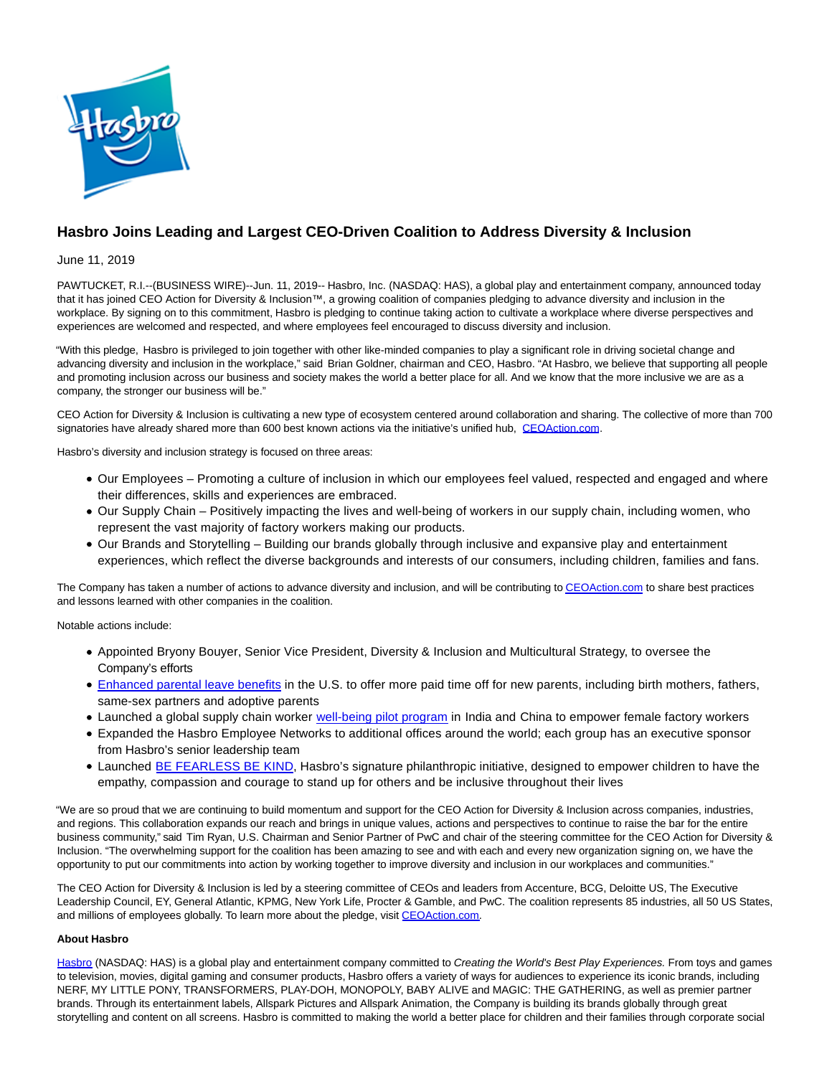

## **Hasbro Joins Leading and Largest CEO-Driven Coalition to Address Diversity & Inclusion**

June 11, 2019

PAWTUCKET, R.I.--(BUSINESS WIRE)--Jun. 11, 2019-- Hasbro, Inc. (NASDAQ: HAS), a global play and entertainment company, announced today that it has joined CEO Action for Diversity & Inclusion™, a growing coalition of companies pledging to advance diversity and inclusion in the workplace. By signing on to this commitment, Hasbro is pledging to continue taking action to cultivate a workplace where diverse perspectives and experiences are welcomed and respected, and where employees feel encouraged to discuss diversity and inclusion.

"With this pledge, Hasbro is privileged to join together with other like-minded companies to play a significant role in driving societal change and advancing diversity and inclusion in the workplace," said Brian Goldner, chairman and CEO, Hasbro. "At Hasbro, we believe that supporting all people and promoting inclusion across our business and society makes the world a better place for all. And we know that the more inclusive we are as a company, the stronger our business will be."

CEO Action for Diversity & Inclusion is cultivating a new type of ecosystem centered around collaboration and sharing. The collective of more than 700 signatories have already shared more than 600 best known actions via the initiative's unified hub, [CEOAction.com.](https://cts.businesswire.com/ct/CT?id=smartlink&url=http%3A%2F%2Fwww.ceoaction.com%2F&esheet=51997812&newsitemid=20190611005696&lan=en-US&anchor=CEOAction.com&index=1&md5=248e4a69c3ed60e85f33d405dcee2932)

Hasbro's diversity and inclusion strategy is focused on three areas:

- Our Employees Promoting a culture of inclusion in which our employees feel valued, respected and engaged and where their differences, skills and experiences are embraced.
- Our Supply Chain Positively impacting the lives and well-being of workers in our supply chain, including women, who represent the vast majority of factory workers making our products.
- Our Brands and Storytelling Building our brands globally through inclusive and expansive play and entertainment experiences, which reflect the diverse backgrounds and interests of our consumers, including children, families and fans.

The Company has taken a number of actions to advance diversity and inclusion, and will be contributing t[o CEOAction.com t](https://cts.businesswire.com/ct/CT?id=smartlink&url=http%3A%2F%2Fwww.ceoaction.com%2F&esheet=51997812&newsitemid=20190611005696&lan=en-US&anchor=CEOAction.com&index=2&md5=6b9f532f384516c73859cd564e85d2ce)o share best practices and lessons learned with other companies in the coalition.

Notable actions include:

- Appointed Bryony Bouyer, Senior Vice President, Diversity & Inclusion and Multicultural Strategy, to oversee the Company's efforts
- [Enhanced parental leave benefits i](https://cts.businesswire.com/ct/CT?id=smartlink&url=https%3A%2F%2Finvestor.hasbro.com%2Fnews-releases%2Fnews-release-details%2Fhasbro-expands-paid-parental-leave-benefits&esheet=51997812&newsitemid=20190611005696&lan=en-US&anchor=Enhanced+parental+leave+benefits&index=3&md5=5d9fb877e4bd7fe58648b2cfda69231f)n the U.S. to offer more paid time off for new parents, including birth mothers, fathers, same-sex partners and adoptive parents
- Launched a global supply chain worker [well-being pilot program](https://cts.businesswire.com/ct/CT?id=smartlink&url=https%3A%2F%2Fnewsroom.hasbro.com%2Fnews-releases%2Fnews-release-details%2Fhasbro-announces-global-supply-chain-well-being-program&esheet=51997812&newsitemid=20190611005696&lan=en-US&anchor=well-being+pilot+program&index=4&md5=21415e56364228160be1cd25108f74f9) in India and China to empower female factory workers
- Expanded the Hasbro Employee Networks to additional offices around the world; each group has an executive sponsor from Hasbro's senior leadership team
- Launched [BE FEARLESS BE KIND,](https://cts.businesswire.com/ct/CT?id=smartlink&url=http%3A%2F%2Fwww.befearlessbekind.org&esheet=51997812&newsitemid=20190611005696&lan=en-US&anchor=BE+FEARLESS+BE+KIND&index=5&md5=88c1add0bb8647b22af57cb1a4ca34c5) Hasbro's signature philanthropic initiative, designed to empower children to have the empathy, compassion and courage to stand up for others and be inclusive throughout their lives

"We are so proud that we are continuing to build momentum and support for the CEO Action for Diversity & Inclusion across companies, industries, and regions. This collaboration expands our reach and brings in unique values, actions and perspectives to continue to raise the bar for the entire business community," said Tim Ryan, U.S. Chairman and Senior Partner of PwC and chair of the steering committee for the CEO Action for Diversity & Inclusion. "The overwhelming support for the coalition has been amazing to see and with each and every new organization signing on, we have the opportunity to put our commitments into action by working together to improve diversity and inclusion in our workplaces and communities."

The CEO Action for Diversity & Inclusion is led by a steering committee of CEOs and leaders from Accenture, BCG, Deloitte US, The Executive Leadership Council, EY, General Atlantic, KPMG, New York Life, Procter & Gamble, and PwC. The coalition represents 85 industries, all 50 US States, and millions of employees globally. To learn more about the pledge, visit [CEOAction.com.](https://cts.businesswire.com/ct/CT?id=smartlink&url=http%3A%2F%2Fwww.ceoaction.com%2F&esheet=51997812&newsitemid=20190611005696&lan=en-US&anchor=CEOAction.com&index=6&md5=01ef659b09305f4f4dd40390ff9e56ff)

## **About Hasbro**

[Hasbro \(](https://cts.businesswire.com/ct/CT?id=smartlink&url=https%3A%2F%2Fnam03.safelinks.protection.outlook.com%2F%3Furl%3Dhttps%253A%252F%252Furldefense.proofpoint.com%252Fv2%252Furl%253Fu%253Dhttps-3A__shop.hasbro.com_en-2Dus%2526d%253DDwMFAg%2526c%253DFtw_YSVcGmqQBvrGwAZugGylNRkk-uER0-5bY94tjsc%2526r%253D-HLYDPgVoSqZq_JbB8lQV0n5w1LtP6Y5xfd7HYZvFtk%2526m%253DZoIWv4O3hyvBUq2K78FBM42AVUyXwkgOR40gY7JtKrM%2526s%253DZ1f0q6Ffbb7ZoSxMsd9NfvT0a9XF2ccxbE7s68yk1gU%2526e%253D%26data%3D02%257C01%257CLeah.Davies%2540Hasbro.com%257Cd0cbbe1f4e324dc4da9508d6b9204abc%257C701edd3ec7a84789b1ce8a243620d68f%257C0%257C0%257C636899945673009090%26sdata%3Djf56CICregwMMFqFyqDpX0dTv1EFtN9trPn0FY5eNE8%253D%26reserved%3D0&esheet=51997812&newsitemid=20190611005696&lan=en-US&anchor=Hasbro&index=7&md5=ef5e7c826580258f321d306d4ca57865)NASDAQ: HAS) is a global play and entertainment company committed to Creating the World's Best Play Experiences. From toys and games to television, movies, digital gaming and consumer products, Hasbro offers a variety of ways for audiences to experience its iconic brands, including NERF, MY LITTLE PONY, TRANSFORMERS, PLAY-DOH, MONOPOLY, BABY ALIVE and MAGIC: THE GATHERING, as well as premier partner brands. Through its entertainment labels, Allspark Pictures and Allspark Animation, the Company is building its brands globally through great storytelling and content on all screens. Hasbro is committed to making the world a better place for children and their families through corporate social